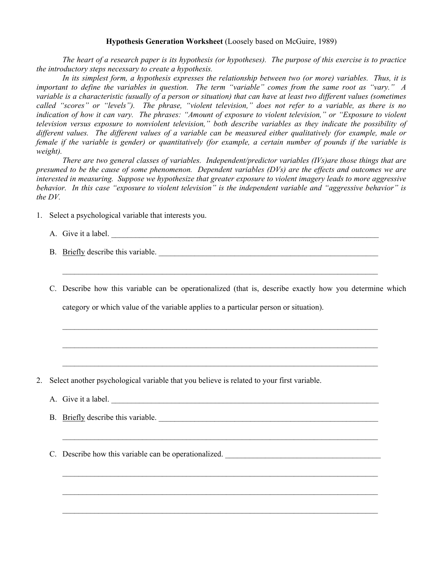## **Hypothesis Generation Worksheet** (Loosely based on McGuire, 1989)

 *The heart of a research paper is its hypothesis (or hypotheses). The purpose of this exercise is to practice the introductory steps necessary to create a hypothesis.* 

*In its simplest form, a hypothesis expresses the relationship between two (or more) variables. Thus, it is important to define the variables in question. The term "variable" comes from the same root as "vary." A variable is a characteristic (usually of a person or situation) that can have at least two different values (sometimes called "scores" or "levels"). The phrase, "violent television," does not refer to a variable, as there is no indication of how it can vary. The phrases: "Amount of exposure to violent television," or "Exposure to violent television versus exposure to nonviolent television," both describe variables as they indicate the possibility of different values. The different values of a variable can be measured either qualitatively (for example, male or female if the variable is gender) or quantitatively (for example, a certain number of pounds if the variable is weight).* 

*There are two general classes of variables. Independent/predictor variables (IVs)are those things that are presumed to be the cause of some phenomenon. Dependent variables (DVs) are the effects and outcomes we are interested in measuring. Suppose we hypothesize that greater exposure to violent imagery leads to more aggressive behavior. In this case "exposure to violent television" is the independent variable and "aggressive behavior" is the DV.* 

1. Select a psychological variable that interests you.

A. Give it a label.

B. Briefly describe this variable.

 $\mathcal{L}_\mathcal{L} = \{ \mathcal{L}_\mathcal{L} = \{ \mathcal{L}_\mathcal{L} = \{ \mathcal{L}_\mathcal{L} = \{ \mathcal{L}_\mathcal{L} = \{ \mathcal{L}_\mathcal{L} = \{ \mathcal{L}_\mathcal{L} = \{ \mathcal{L}_\mathcal{L} = \{ \mathcal{L}_\mathcal{L} = \{ \mathcal{L}_\mathcal{L} = \{ \mathcal{L}_\mathcal{L} = \{ \mathcal{L}_\mathcal{L} = \{ \mathcal{L}_\mathcal{L} = \{ \mathcal{L}_\mathcal{L} = \{ \mathcal{L}_\mathcal{$ 

 $\mathcal{L}_\text{max}$  and  $\mathcal{L}_\text{max}$  and  $\mathcal{L}_\text{max}$  and  $\mathcal{L}_\text{max}$  and  $\mathcal{L}_\text{max}$  and  $\mathcal{L}_\text{max}$ 

C. Describe how this variable can be operationalized (that is, describe exactly how you determine which category or which value of the variable applies to a particular person or situation).

- 2. Select another psychological variable that you believe is related to your first variable.
	- A. Give it a label.
	- B. Briefly describe this variable.

 $\mathcal{L}_\text{max}$  and  $\mathcal{L}_\text{max}$  and  $\mathcal{L}_\text{max}$  and  $\mathcal{L}_\text{max}$  and  $\mathcal{L}_\text{max}$  and  $\mathcal{L}_\text{max}$ 

 $\mathcal{L}_\mathcal{L} = \{ \mathcal{L}_\mathcal{L} = \{ \mathcal{L}_\mathcal{L} = \{ \mathcal{L}_\mathcal{L} = \{ \mathcal{L}_\mathcal{L} = \{ \mathcal{L}_\mathcal{L} = \{ \mathcal{L}_\mathcal{L} = \{ \mathcal{L}_\mathcal{L} = \{ \mathcal{L}_\mathcal{L} = \{ \mathcal{L}_\mathcal{L} = \{ \mathcal{L}_\mathcal{L} = \{ \mathcal{L}_\mathcal{L} = \{ \mathcal{L}_\mathcal{L} = \{ \mathcal{L}_\mathcal{L} = \{ \mathcal{L}_\mathcal{$ 

 $\mathcal{L}_\mathcal{L} = \{ \mathcal{L}_\mathcal{L} = \{ \mathcal{L}_\mathcal{L} = \{ \mathcal{L}_\mathcal{L} = \{ \mathcal{L}_\mathcal{L} = \{ \mathcal{L}_\mathcal{L} = \{ \mathcal{L}_\mathcal{L} = \{ \mathcal{L}_\mathcal{L} = \{ \mathcal{L}_\mathcal{L} = \{ \mathcal{L}_\mathcal{L} = \{ \mathcal{L}_\mathcal{L} = \{ \mathcal{L}_\mathcal{L} = \{ \mathcal{L}_\mathcal{L} = \{ \mathcal{L}_\mathcal{L} = \{ \mathcal{L}_\mathcal{$ 

 $\mathcal{L}_\mathcal{L} = \{ \mathcal{L}_\mathcal{L} = \{ \mathcal{L}_\mathcal{L} = \{ \mathcal{L}_\mathcal{L} = \{ \mathcal{L}_\mathcal{L} = \{ \mathcal{L}_\mathcal{L} = \{ \mathcal{L}_\mathcal{L} = \{ \mathcal{L}_\mathcal{L} = \{ \mathcal{L}_\mathcal{L} = \{ \mathcal{L}_\mathcal{L} = \{ \mathcal{L}_\mathcal{L} = \{ \mathcal{L}_\mathcal{L} = \{ \mathcal{L}_\mathcal{L} = \{ \mathcal{L}_\mathcal{L} = \{ \mathcal{L}_\mathcal{$ 

C. Describe how this variable can be operationalized.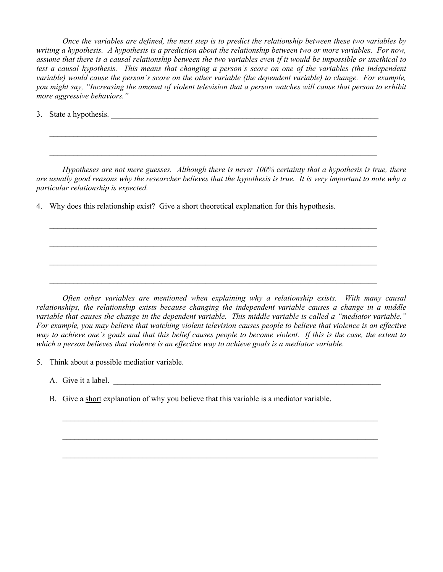*Once the variables are defined, the next step is to predict the relationship between these two variables by writing a hypothesis. A hypothesis is a prediction about the relationship between two or more variables. For now, assume that there is a causal relationship between the two variables even if it would be impossible or unethical to test a causal hypothesis. This means that changing a person's score on one of the variables (the independent variable) would cause the person's score on the other variable (the dependent variable) to change. For example, you might say, "Increasing the amount of violent television that a person watches will cause that person to exhibit more aggressive behaviors."* 

3. State a hypothesis.

*Hypotheses are not mere guesses. Although there is never 100% certainty that a hypothesis is true, there are usually good reasons why the researcher believes that the hypothesis is true. It is very important to note why a particular relationship is expected.*

 $\mathcal{L}_\mathcal{L} = \{ \mathcal{L}_\mathcal{L} = \{ \mathcal{L}_\mathcal{L} = \{ \mathcal{L}_\mathcal{L} = \{ \mathcal{L}_\mathcal{L} = \{ \mathcal{L}_\mathcal{L} = \{ \mathcal{L}_\mathcal{L} = \{ \mathcal{L}_\mathcal{L} = \{ \mathcal{L}_\mathcal{L} = \{ \mathcal{L}_\mathcal{L} = \{ \mathcal{L}_\mathcal{L} = \{ \mathcal{L}_\mathcal{L} = \{ \mathcal{L}_\mathcal{L} = \{ \mathcal{L}_\mathcal{L} = \{ \mathcal{L}_\mathcal{$ 

 $\mathcal{L}_\mathcal{L} = \{ \mathcal{L}_\mathcal{L} = \{ \mathcal{L}_\mathcal{L} = \{ \mathcal{L}_\mathcal{L} = \{ \mathcal{L}_\mathcal{L} = \{ \mathcal{L}_\mathcal{L} = \{ \mathcal{L}_\mathcal{L} = \{ \mathcal{L}_\mathcal{L} = \{ \mathcal{L}_\mathcal{L} = \{ \mathcal{L}_\mathcal{L} = \{ \mathcal{L}_\mathcal{L} = \{ \mathcal{L}_\mathcal{L} = \{ \mathcal{L}_\mathcal{L} = \{ \mathcal{L}_\mathcal{L} = \{ \mathcal{L}_\mathcal{$ 

 $\mathcal{L}_\mathcal{L} = \{ \mathcal{L}_\mathcal{L} = \{ \mathcal{L}_\mathcal{L} = \{ \mathcal{L}_\mathcal{L} = \{ \mathcal{L}_\mathcal{L} = \{ \mathcal{L}_\mathcal{L} = \{ \mathcal{L}_\mathcal{L} = \{ \mathcal{L}_\mathcal{L} = \{ \mathcal{L}_\mathcal{L} = \{ \mathcal{L}_\mathcal{L} = \{ \mathcal{L}_\mathcal{L} = \{ \mathcal{L}_\mathcal{L} = \{ \mathcal{L}_\mathcal{L} = \{ \mathcal{L}_\mathcal{L} = \{ \mathcal{L}_\mathcal{$ 

 $\mathcal{L}_\text{max}$  , and the contribution of the contribution of the contribution of the contribution of the contribution of the contribution of the contribution of the contribution of the contribution of the contribution of t

 $\mathcal{L}_\mathcal{L} = \{ \mathcal{L}_\mathcal{L} = \{ \mathcal{L}_\mathcal{L} = \{ \mathcal{L}_\mathcal{L} = \{ \mathcal{L}_\mathcal{L} = \{ \mathcal{L}_\mathcal{L} = \{ \mathcal{L}_\mathcal{L} = \{ \mathcal{L}_\mathcal{L} = \{ \mathcal{L}_\mathcal{L} = \{ \mathcal{L}_\mathcal{L} = \{ \mathcal{L}_\mathcal{L} = \{ \mathcal{L}_\mathcal{L} = \{ \mathcal{L}_\mathcal{L} = \{ \mathcal{L}_\mathcal{L} = \{ \mathcal{L}_\mathcal{$ 

 $\mathcal{L}_\mathcal{L} = \{ \mathcal{L}_\mathcal{L} = \{ \mathcal{L}_\mathcal{L} = \{ \mathcal{L}_\mathcal{L} = \{ \mathcal{L}_\mathcal{L} = \{ \mathcal{L}_\mathcal{L} = \{ \mathcal{L}_\mathcal{L} = \{ \mathcal{L}_\mathcal{L} = \{ \mathcal{L}_\mathcal{L} = \{ \mathcal{L}_\mathcal{L} = \{ \mathcal{L}_\mathcal{L} = \{ \mathcal{L}_\mathcal{L} = \{ \mathcal{L}_\mathcal{L} = \{ \mathcal{L}_\mathcal{L} = \{ \mathcal{L}_\mathcal{$ 

4. Why does this relationship exist? Give a short theoretical explanation for this hypothesis.

*Often other variables are mentioned when explaining why a relationship exists. With many causal relationships, the relationship exists because changing the independent variable causes a change in a middle variable that causes the change in the dependent variable. This middle variable is called a "mediator variable." For example, you may believe that watching violent television causes people to believe that violence is an effective way to achieve one's goals and that this belief causes people to become violent. If this is the case, the extent to which a person believes that violence is an effective way to achieve goals is a mediator variable.* 

 $\mathcal{L}_\mathcal{L} = \{ \mathcal{L}_\mathcal{L} = \{ \mathcal{L}_\mathcal{L} = \{ \mathcal{L}_\mathcal{L} = \{ \mathcal{L}_\mathcal{L} = \{ \mathcal{L}_\mathcal{L} = \{ \mathcal{L}_\mathcal{L} = \{ \mathcal{L}_\mathcal{L} = \{ \mathcal{L}_\mathcal{L} = \{ \mathcal{L}_\mathcal{L} = \{ \mathcal{L}_\mathcal{L} = \{ \mathcal{L}_\mathcal{L} = \{ \mathcal{L}_\mathcal{L} = \{ \mathcal{L}_\mathcal{L} = \{ \mathcal{L}_\mathcal{$ 

 $\mathcal{L}_\mathcal{L} = \{ \mathcal{L}_\mathcal{L} = \{ \mathcal{L}_\mathcal{L} = \{ \mathcal{L}_\mathcal{L} = \{ \mathcal{L}_\mathcal{L} = \{ \mathcal{L}_\mathcal{L} = \{ \mathcal{L}_\mathcal{L} = \{ \mathcal{L}_\mathcal{L} = \{ \mathcal{L}_\mathcal{L} = \{ \mathcal{L}_\mathcal{L} = \{ \mathcal{L}_\mathcal{L} = \{ \mathcal{L}_\mathcal{L} = \{ \mathcal{L}_\mathcal{L} = \{ \mathcal{L}_\mathcal{L} = \{ \mathcal{L}_\mathcal{$ 

 $\mathcal{L}_\mathcal{L} = \{ \mathcal{L}_\mathcal{L} = \{ \mathcal{L}_\mathcal{L} = \{ \mathcal{L}_\mathcal{L} = \{ \mathcal{L}_\mathcal{L} = \{ \mathcal{L}_\mathcal{L} = \{ \mathcal{L}_\mathcal{L} = \{ \mathcal{L}_\mathcal{L} = \{ \mathcal{L}_\mathcal{L} = \{ \mathcal{L}_\mathcal{L} = \{ \mathcal{L}_\mathcal{L} = \{ \mathcal{L}_\mathcal{L} = \{ \mathcal{L}_\mathcal{L} = \{ \mathcal{L}_\mathcal{L} = \{ \mathcal{L}_\mathcal{$ 

5. Think about a possible mediatior variable.

A. Give it a label.

B. Give a short explanation of why you believe that this variable is a mediator variable.